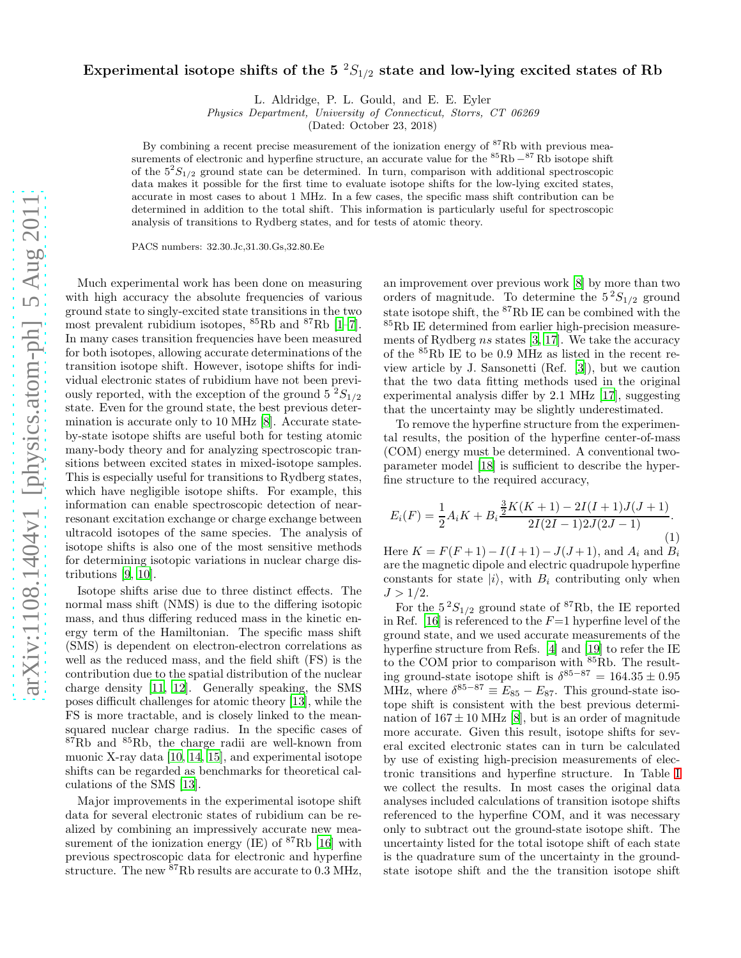## Experimental isotope shifts of the  $5\text{ }^2S_{1/2}$  state and low-lying excited states of Rb

L. Aldridge, P. L. Gould, and E. E. Eyler

Physics Department, University of Connecticut, Storrs, CT 06269

(Dated: October 23, 2018)

By combining a recent precise measurement of the ionization energy of <sup>87</sup>Rb with previous measurements of electronic and hyperfine structure, an accurate value for the <sup>85</sup>Rb −<sup>87</sup>Rb isotope shift of the  $5^{2}S_{1/2}$  ground state can be determined. In turn, comparison with additional spectroscopic data makes it possible for the first time to evaluate isotope shifts for the low-lying excited states, accurate in most cases to about 1 MHz. In a few cases, the specific mass shift contribution can be determined in addition to the total shift. This information is particularly useful for spectroscopic analysis of transitions to Rydberg states, and for tests of atomic theory.

PACS numbers: 32.30.Jc,31.30.Gs,32.80.Ee

Much experimental work has been done on measuring with high accuracy the absolute frequencies of various ground state to singly-excited state transitions in the two most prevalent rubidium isotopes,  ${}^{85}$ Rb and  ${}^{87}$ Rb [\[1](#page-2-0)[–7\]](#page-2-1). In many cases transition frequencies have been measured for both isotopes, allowing accurate determinations of the transition isotope shift. However, isotope shifts for individual electronic states of rubidium have not been previously reported, with the exception of the ground  $5 \frac{2S_{1/2}}{S_{1/2}}$ state. Even for the ground state, the best previous determination is accurate only to 10 MHz [\[8\]](#page-2-2). Accurate stateby-state isotope shifts are useful both for testing atomic many-body theory and for analyzing spectroscopic transitions between excited states in mixed-isotope samples. This is especially useful for transitions to Rydberg states, which have negligible isotope shifts. For example, this information can enable spectroscopic detection of nearresonant excitation exchange or charge exchange between ultracold isotopes of the same species. The analysis of isotope shifts is also one of the most sensitive methods for determining isotopic variations in nuclear charge distributions [\[9,](#page-2-3) [10\]](#page-2-4).

Isotope shifts arise due to three distinct effects. The normal mass shift (NMS) is due to the differing isotopic mass, and thus differing reduced mass in the kinetic energy term of the Hamiltonian. The specific mass shift (SMS) is dependent on electron-electron correlations as well as the reduced mass, and the field shift (FS) is the contribution due to the spatial distribution of the nuclear charge density [\[11,](#page-2-5) [12](#page-2-6)]. Generally speaking, the SMS poses difficult challenges for atomic theory [\[13\]](#page-2-7), while the FS is more tractable, and is closely linked to the meansquared nuclear charge radius. In the specific cases of  $87Rb$  and  $85Rb$ , the charge radii are well-known from muonic X-ray data [\[10,](#page-2-4) [14](#page-2-8), [15\]](#page-2-9), and experimental isotope shifts can be regarded as benchmarks for theoretical calculations of the SMS [\[13\]](#page-2-7).

Major improvements in the experimental isotope shift data for several electronic states of rubidium can be realized by combining an impressively accurate new measurement of the ionization energy  $(IE)$  of  ${}^{87}Rb$  [\[16\]](#page-2-10) with previous spectroscopic data for electronic and hyperfine structure. The new  $87Rb$  results are accurate to  $0.3 \text{ MHz}$ ,

an improvement over previous work [\[8\]](#page-2-2) by more than two orders of magnitude. To determine the  $5^2S_{1/2}$  ground state isotope shift, the <sup>87</sup>Rb IE can be combined with the <sup>85</sup>Rb IE determined from earlier high-precision measurements of Rydberg  $ns$  states [\[3,](#page-2-11) [17\]](#page-2-12). We take the accuracy of the <sup>85</sup>Rb IE to be 0.9 MHz as listed in the recent review article by J. Sansonetti (Ref. [\[3\]](#page-2-11)), but we caution that the two data fitting methods used in the original experimental analysis differ by 2.1 MHz [\[17](#page-2-12)], suggesting that the uncertainty may be slightly underestimated.

To remove the hyperfine structure from the experimental results, the position of the hyperfine center-of-mass (COM) energy must be determined. A conventional twoparameter model [\[18](#page-2-13)] is sufficient to describe the hyperfine structure to the required accuracy,

$$
E_i(F) = \frac{1}{2}A_iK + B_i \frac{\frac{3}{2}K(K+1) - 2I(I+1)J(J+1)}{2I(2I-1)2J(2J-1)}.
$$
\n(1)

Here  $K = F(F + 1) - I(I + 1) - J(J + 1)$ , and  $A_i$  and  $B_i$ are the magnetic dipole and electric quadrupole hyperfine constants for state  $|i\rangle$ , with  $B_i$  contributing only when  $J > 1/2$ .

For the  $5^2S_{1/2}$  ground state of <sup>87</sup>Rb, the IE reported in Ref. [\[16](#page-2-10)] is referenced to the  $F=1$  hyperfine level of the ground state, and we used accurate measurements of the hyperfine structure from Refs. [\[4\]](#page-2-14) and [\[19\]](#page-2-15) to refer the IE to the COM prior to comparison with <sup>85</sup>Rb. The resulting ground-state isotope shift is  $\delta^{85-87} = 164.35 \pm 0.95$ MHz, where  $\delta^{85-87} \equiv E_{85} - E_{87}$ . This ground-state isotope shift is consistent with the best previous determination of  $167 \pm 10$  MHz [\[8](#page-2-2)], but is an order of magnitude more accurate. Given this result, isotope shifts for several excited electronic states can in turn be calculated by use of existing high-precision measurements of electronic transitions and hyperfine structure. In Table [I](#page-1-0) we collect the results. In most cases the original data analyses included calculations of transition isotope shifts referenced to the hyperfine COM, and it was necessary only to subtract out the ground-state isotope shift. The uncertainty listed for the total isotope shift of each state is the quadrature sum of the uncertainty in the groundstate isotope shift and the the transition isotope shift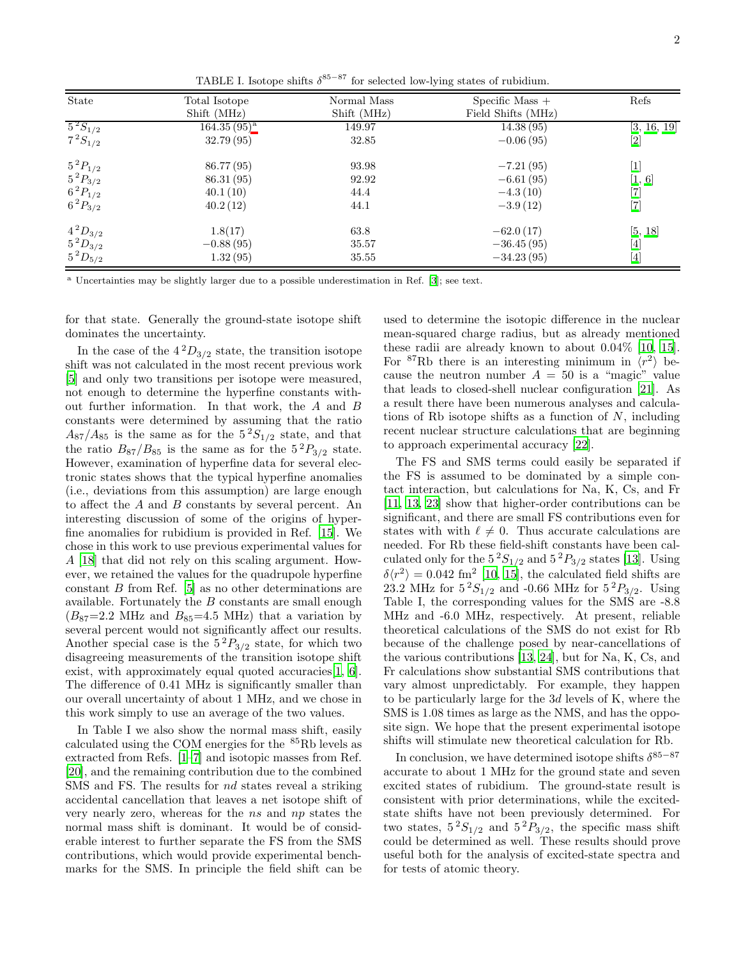<span id="page-1-0"></span>

| State                                                                                   | Total Isotope<br>Shift (MHz) | Normal Mass<br>Shift (MHz) | Specific Mass $+$<br>Field Shifts (MHz) | Refs                                                                                                                                                                                                                                                                                                  |
|-----------------------------------------------------------------------------------------|------------------------------|----------------------------|-----------------------------------------|-------------------------------------------------------------------------------------------------------------------------------------------------------------------------------------------------------------------------------------------------------------------------------------------------------|
| $5^{2}S_{1/2}$                                                                          | $164.35(95)^{a}$             | 149.97                     | 14.38(95)                               | [3, 16, 19]                                                                                                                                                                                                                                                                                           |
| $7^{2}S_{1/2}$                                                                          | 32.79 (95)                   | 32.85                      | $-0.06(95)$                             |                                                                                                                                                                                                                                                                                                       |
| $5^2P_{1/2}$                                                                            | 86.77 (95)                   | 93.98                      | $-7.21(95)$                             | $[1]$                                                                                                                                                                                                                                                                                                 |
|                                                                                         | 86.31(95)                    | 92.92                      | $-6.61(95)$                             | [1, 6]                                                                                                                                                                                                                                                                                                |
|                                                                                         | 40.1(10)                     | 44.4                       | $-4.3(10)$                              |                                                                                                                                                                                                                                                                                                       |
| $\begin{array}{c} 5 \, {}^2P_{3/2} \\ 6 \, {}^2P_{1/2} \\ 6 \, {}^2P_{3/2} \end{array}$ | 40.2(12)                     | 44.1                       | $-3.9(12)$                              | $\begin{bmatrix} 7 \\ 7 \end{bmatrix}$                                                                                                                                                                                                                                                                |
| $4^{2}D_{3/2}$                                                                          | 1.8(17)                      | 63.8                       | $-62.0(17)$                             | [5, 18]                                                                                                                                                                                                                                                                                               |
| $5^{2}D_{3/2}$                                                                          | $-0.88(95)$                  | 35.57                      | $-36.45(95)$                            | $[4] % \includegraphics[width=0.9\columnwidth]{figures/fig_1a} \caption{A graph $\Delta$ (top) and the corresponding parameters $A$ (bottom) and $A$ (bottom) and $A$ (bottom) and $A$ (bottom) and $A$ (bottom) and $B$ (bottom) and $C=1$ (bottom).} \label{fig:1}$                                 |
| $5^{2}D_{5/2}$                                                                          | 1.32(95)                     | 35.55                      | $-34.23(95)$                            | $[4] \centering% \includegraphics[width=1.0\textwidth]{images/TrDiC-Architecture.png} \caption{The 3D (top) and the 4D (bottom) of the 3D (bottom) and the 4D (bottom) of the 3D (bottom) and the 4D (bottom) of the 3D (bottom) and the 4D (bottom) of the 3D (bottom).} \label{TrDiC-Architecture}$ |

<span id="page-1-1"></span><sup>a</sup> Uncertainties may be slightly larger due to a possible underestimation in Ref. [\[3\]](#page-2-11); see text.

for that state. Generally the ground-state isotope shift dominates the uncertainty.

In the case of the  $4^{2}D_{3/2}$  state, the transition isotope shift was not calculated in the most recent previous work [\[5\]](#page-2-18) and only two transitions per isotope were measured, not enough to determine the hyperfine constants without further information. In that work, the A and B constants were determined by assuming that the ratio  $A_{87}/A_{85}$  is the same as for the  $5^{2}S_{1/2}$  state, and that the ratio  $B_{87}/B_{85}$  is the same as for the  $5^2P_{3/2}$  state. However, examination of hyperfine data for several electronic states shows that the typical hyperfine anomalies (i.e., deviations from this assumption) are large enough to affect the A and B constants by several percent. An interesting discussion of some of the origins of hyperfine anomalies for rubidium is provided in Ref. [\[15](#page-2-9)]. We chose in this work to use previous experimental values for A [\[18\]](#page-2-13) that did not rely on this scaling argument. However, we retained the values for the quadrupole hyperfine constant  $B$  from Ref. [\[5](#page-2-18)] as no other determinations are available. Fortunately the B constants are small enough  $(B_{87}=2.2 \text{ MHz and } B_{85}=4.5 \text{ MHz})$  that a variation by several percent would not significantly affect our results. Another special case is the  $5^{2}P_{3/2}$  state, for which two disagreeing measurements of the transition isotope shift exist, with approximately equal quoted accuracies [\[1,](#page-2-0) [6\]](#page-2-17). The difference of 0.41 MHz is significantly smaller than our overall uncertainty of about 1 MHz, and we chose in this work simply to use an average of the two values.

In Table I we also show the normal mass shift, easily calculated using the COM energies for the <sup>85</sup>Rb levels as extracted from Refs. [\[1](#page-2-0)[–7\]](#page-2-1) and isotopic masses from Ref. [\[20\]](#page-2-19), and the remaining contribution due to the combined SMS and FS. The results for nd states reveal a striking accidental cancellation that leaves a net isotope shift of very nearly zero, whereas for the ns and np states the normal mass shift is dominant. It would be of considerable interest to further separate the FS from the SMS contributions, which would provide experimental benchmarks for the SMS. In principle the field shift can be

used to determine the isotopic difference in the nuclear mean-squared charge radius, but as already mentioned these radii are already known to about 0.04% [\[10,](#page-2-4) [15\]](#page-2-9). For <sup>87</sup>Rb there is an interesting minimum in  $\langle r^2 \rangle$  because the neutron number  $A = 50$  is a "magic" value that leads to closed-shell nuclear configuration [\[21](#page-2-20)]. As a result there have been numerous analyses and calculations of Rb isotope shifts as a function of  $N$ , including recent nuclear structure calculations that are beginning to approach experimental accuracy [\[22\]](#page-2-21).

The FS and SMS terms could easily be separated if the FS is assumed to be dominated by a simple contact interaction, but calculations for Na, K, Cs, and Fr [\[11,](#page-2-5) [13](#page-2-7), [23\]](#page-2-22) show that higher-order contributions can be significant, and there are small FS contributions even for states with with  $\ell \neq 0$ . Thus accurate calculations are needed. For Rb these field-shift constants have been calculated only for the  $5^2S_{1/2}$  and  $5^2P_{3/2}$  states [\[13\]](#page-2-7). Using  $\delta\langle r^2\rangle = 0.042$  fm<sup>2</sup> [\[10,](#page-2-4) [15\]](#page-2-9), the calculated field shifts are 23.2 MHz for  $5^{2}S_{1/2}$  and -0.66 MHz for  $5^{2}P_{3/2}$ . Using Table I, the corresponding values for the SMS are -8.8 MHz and -6.0 MHz, respectively. At present, reliable theoretical calculations of the SMS do not exist for Rb because of the challenge posed by near-cancellations of the various contributions [\[13,](#page-2-7) [24](#page-2-23)], but for Na, K, Cs, and Fr calculations show substantial SMS contributions that vary almost unpredictably. For example, they happen to be particularly large for the 3d levels of K, where the SMS is 1.08 times as large as the NMS, and has the opposite sign. We hope that the present experimental isotope shifts will stimulate new theoretical calculation for Rb.

In conclusion, we have determined isotope shifts  $\delta^{85-87}$ accurate to about 1 MHz for the ground state and seven excited states of rubidium. The ground-state result is consistent with prior determinations, while the excitedstate shifts have not been previously determined. For two states,  $5^2S_{1/2}$  and  $5^2P_{3/2}$ , the specific mass shift could be determined as well. These results should prove useful both for the analysis of excited-state spectra and for tests of atomic theory.